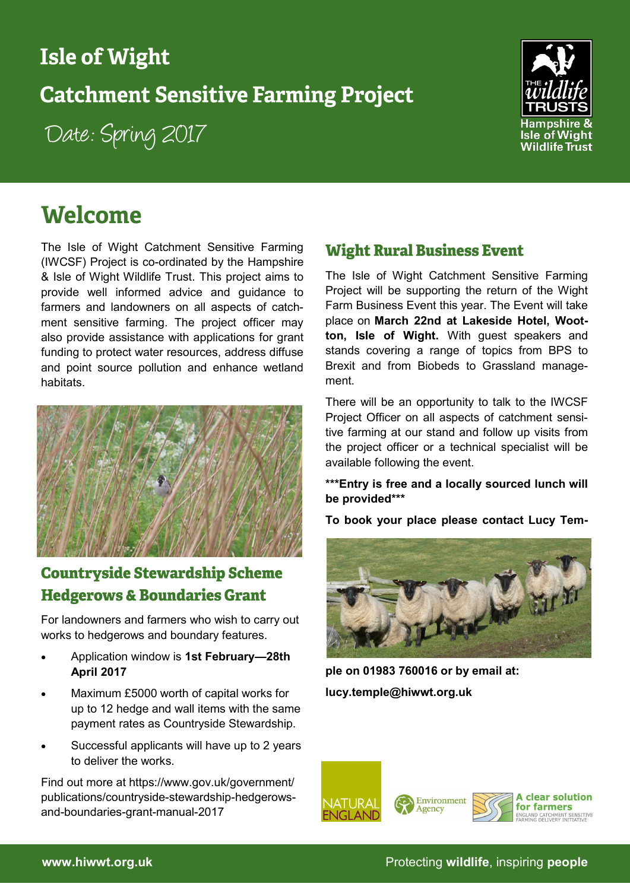# **Isle of Wight**

# **Catchment Sensitive Farming Project**

Date: Spring 2017



# **Welcome**

The Isle of Wight Catchment Sensitive Farming (IWCSF) Project is co-ordinated by the [Hampshire](http://www.hwt.org.uk/)  [& Isle of Wight Wildlife Trust.](http://www.hwt.org.uk/) This project aims to provide well informed advice and guidance to farmers and landowners on all aspects of catchment sensitive farming. The project officer may also provide assistance with applications for grant funding to protect water resources, address diffuse and point source pollution and enhance wetland habitats.



## **Countryside Stewardship Scheme Hedgerows & Boundaries Grant**

For landowners and farmers who wish to carry out works to hedgerows and boundary features.

- Application window is **1st February—28th April 2017**
- Maximum £5000 worth of capital works for up to 12 hedge and wall items with the same payment rates as Countryside Stewardship.
- Successful applicants will have up to 2 years to deliver the works.

Find out more at https://www.gov.uk/government/ publications/countryside-stewardship-hedgerowsand-boundaries-grant-manual-2017

## **Wight Rural Business Event**

The Isle of Wight Catchment Sensitive Farming Project will be supporting the return of the Wight Farm Business Event this year. The Event will take place on **March 22nd at Lakeside Hotel, Wootton, Isle of Wight.** With guest speakers and stands covering a range of topics from BPS to Brexit and from Biobeds to Grassland management.

There will be an opportunity to talk to the IWCSF Project Officer on all aspects of catchment sensitive farming at our stand and follow up visits from the project officer or a technical specialist will be available following the event.

**\*\*\*Entry is free and a locally sourced lunch will be provided\*\*\***

**To book your place please contact Lucy Tem-**



**ple on 01983 760016 or by email at: lucy.temple@hiwwt.org.uk**